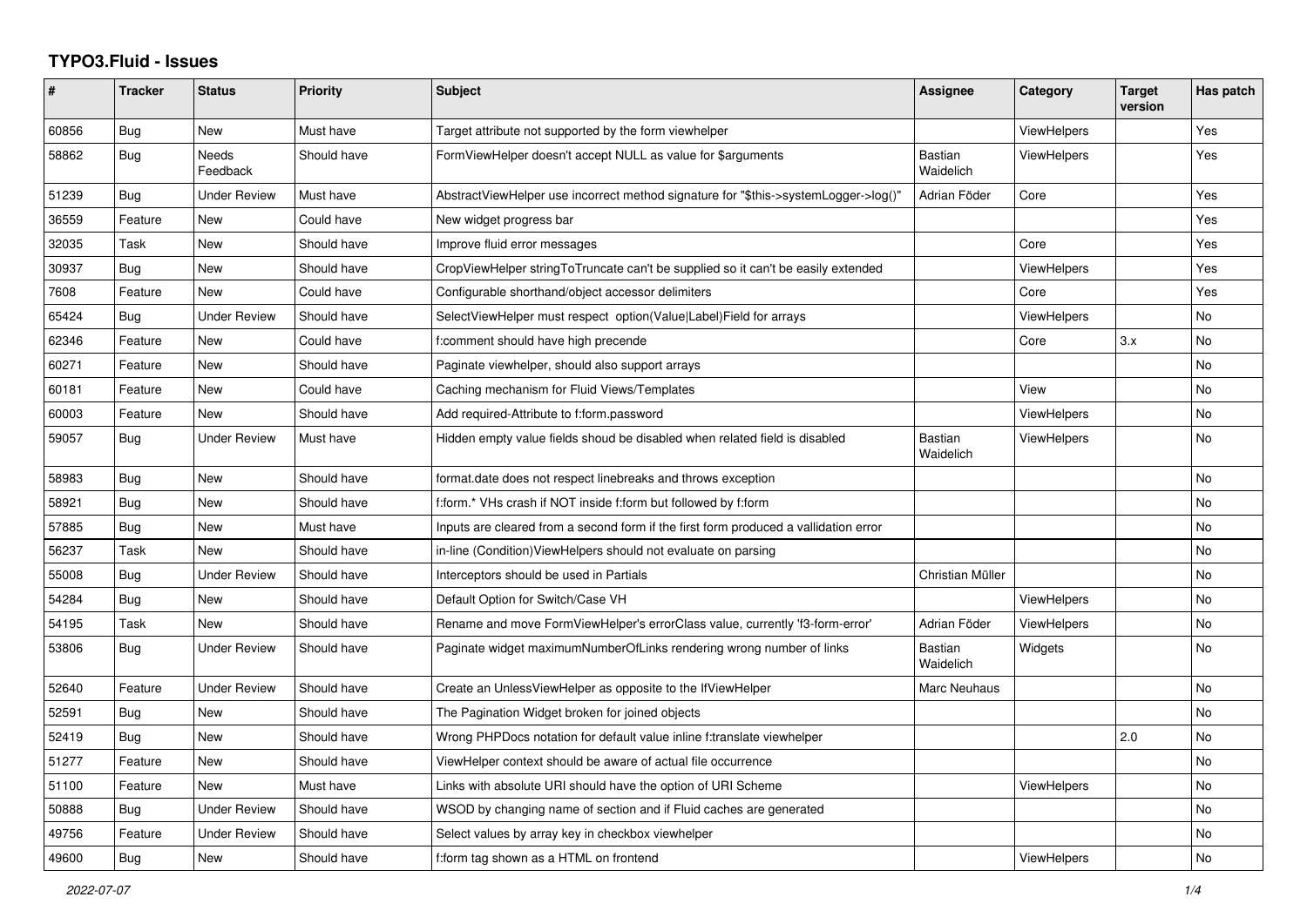## **TYPO3.Fluid - Issues**

| #     | <b>Tracker</b> | <b>Status</b>            | Priority    | Subject                                                                              | Assignee                    | Category           | <b>Target</b><br>version | Has patch |
|-------|----------------|--------------------------|-------------|--------------------------------------------------------------------------------------|-----------------------------|--------------------|--------------------------|-----------|
| 60856 | Bug            | New                      | Must have   | Target attribute not supported by the form viewhelper                                |                             | <b>ViewHelpers</b> |                          | Yes       |
| 58862 | Bug            | <b>Needs</b><br>Feedback | Should have | FormViewHelper doesn't accept NULL as value for \$arguments                          | <b>Bastian</b><br>Waidelich | <b>ViewHelpers</b> |                          | Yes       |
| 51239 | Bug            | <b>Under Review</b>      | Must have   | AbstractViewHelper use incorrect method signature for "\$this->systemLogger->log()"  | Adrian Föder                | Core               |                          | Yes       |
| 36559 | Feature        | New                      | Could have  | New widget progress bar                                                              |                             |                    |                          | Yes       |
| 32035 | Task           | New                      | Should have | Improve fluid error messages                                                         |                             | Core               |                          | Yes       |
| 30937 | Bug            | New                      | Should have | CropViewHelper stringToTruncate can't be supplied so it can't be easily extended     |                             | <b>ViewHelpers</b> |                          | Yes       |
| 7608  | Feature        | New                      | Could have  | Configurable shorthand/object accessor delimiters                                    |                             | Core               |                          | Yes       |
| 65424 | Bug            | <b>Under Review</b>      | Should have | SelectViewHelper must respect option(Value Label)Field for arrays                    |                             | ViewHelpers        |                          | No        |
| 62346 | Feature        | <b>New</b>               | Could have  | f:comment should have high precende                                                  |                             | Core               | 3.x                      | <b>No</b> |
| 60271 | Feature        | New                      | Should have | Paginate viewhelper, should also support arrays                                      |                             |                    |                          | <b>No</b> |
| 60181 | Feature        | <b>New</b>               | Could have  | Caching mechanism for Fluid Views/Templates                                          |                             | View               |                          | No.       |
| 60003 | Feature        | New                      | Should have | Add required-Attribute to f:form.password                                            |                             | <b>ViewHelpers</b> |                          | No        |
| 59057 | Bug            | <b>Under Review</b>      | Must have   | Hidden empty value fields shoud be disabled when related field is disabled           | <b>Bastian</b><br>Waidelich | ViewHelpers        |                          | <b>No</b> |
| 58983 | Bug            | New                      | Should have | format.date does not respect linebreaks and throws exception                         |                             |                    |                          | No        |
| 58921 | Bug            | New                      | Should have | f:form.* VHs crash if NOT inside f:form but followed by f:form                       |                             |                    |                          | No        |
| 57885 | <b>Bug</b>     | New                      | Must have   | Inputs are cleared from a second form if the first form produced a vallidation error |                             |                    |                          | No        |
| 56237 | Task           | New                      | Should have | in-line (Condition) View Helpers should not evaluate on parsing                      |                             |                    |                          | <b>No</b> |
| 55008 | Bug            | Under Review             | Should have | Interceptors should be used in Partials                                              | Christian Müller            |                    |                          | No        |
| 54284 | Bug            | New                      | Should have | Default Option for Switch/Case VH                                                    |                             | <b>ViewHelpers</b> |                          | No        |
| 54195 | Task           | New                      | Should have | Rename and move FormViewHelper's errorClass value, currently 'f3-form-error'         | Adrian Föder                | <b>ViewHelpers</b> |                          | No        |
| 53806 | Bug            | <b>Under Review</b>      | Should have | Paginate widget maximumNumberOfLinks rendering wrong number of links                 | <b>Bastian</b><br>Waidelich | Widgets            |                          | <b>No</b> |
| 52640 | Feature        | <b>Under Review</b>      | Should have | Create an UnlessViewHelper as opposite to the IfViewHelper                           | Marc Neuhaus                |                    |                          | <b>No</b> |
| 52591 | Bug            | New                      | Should have | The Pagination Widget broken for joined objects                                      |                             |                    |                          | <b>No</b> |
| 52419 | Bug            | New                      | Should have | Wrong PHPDocs notation for default value inline f:translate viewhelper               |                             |                    | 2.0                      | No        |
| 51277 | Feature        | New                      | Should have | ViewHelper context should be aware of actual file occurrence                         |                             |                    |                          | <b>No</b> |
| 51100 | Feature        | <b>New</b>               | Must have   | Links with absolute URI should have the option of URI Scheme                         |                             | ViewHelpers        |                          | <b>No</b> |
| 50888 | Bug            | Under Review             | Should have | WSOD by changing name of section and if Fluid caches are generated                   |                             |                    |                          | No        |
| 49756 | Feature        | <b>Under Review</b>      | Should have | Select values by array key in checkbox viewhelper                                    |                             |                    |                          | <b>No</b> |
| 49600 | <b>Bug</b>     | <b>New</b>               | Should have | f:form tag shown as a HTML on frontend                                               |                             | ViewHelpers        |                          | <b>No</b> |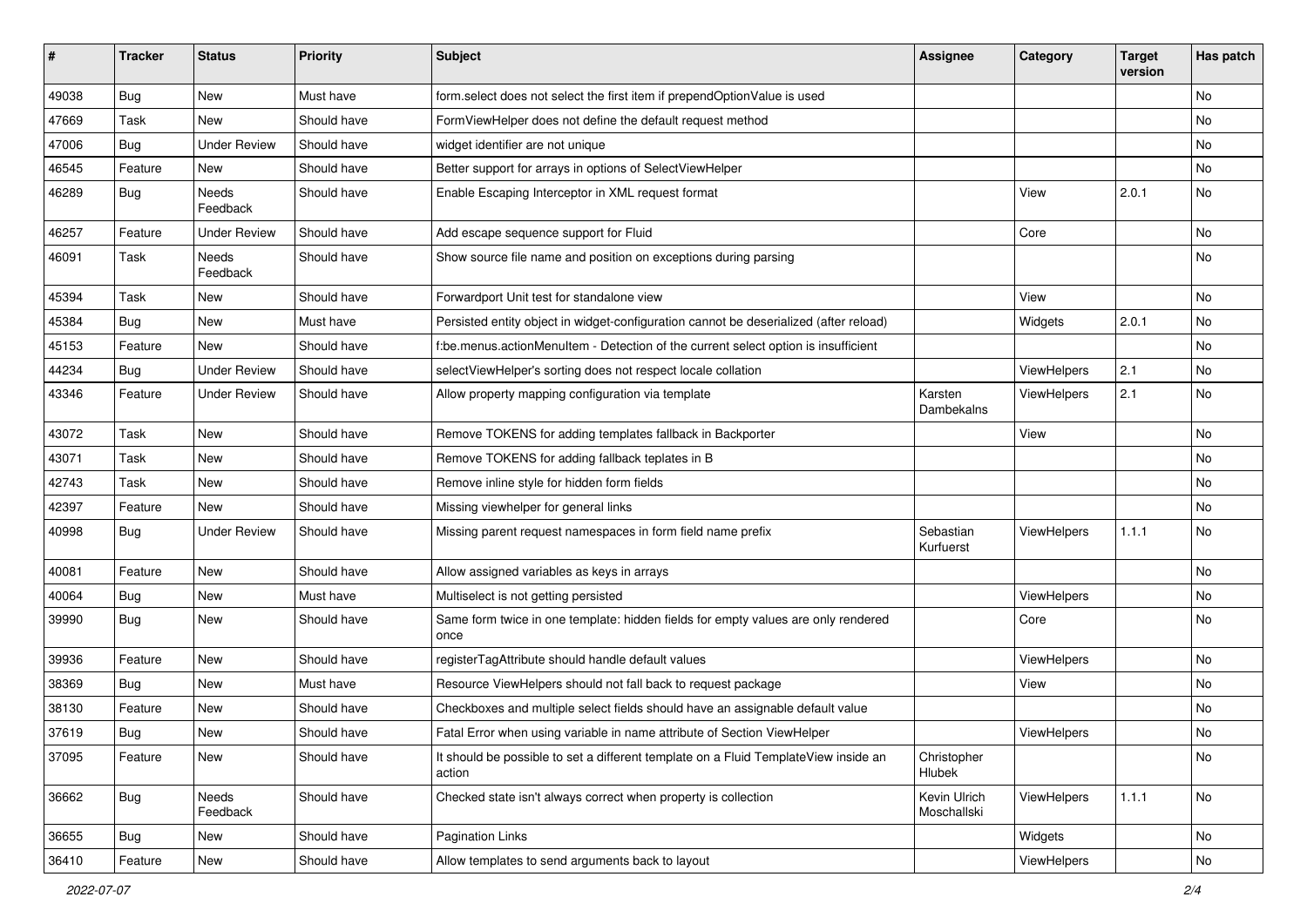| #     | <b>Tracker</b> | <b>Status</b>       | <b>Priority</b> | Subject                                                                                       | <b>Assignee</b>             | Category           | <b>Target</b><br>version | Has patch |
|-------|----------------|---------------------|-----------------|-----------------------------------------------------------------------------------------------|-----------------------------|--------------------|--------------------------|-----------|
| 49038 | Bug            | New                 | Must have       | form.select does not select the first item if prependOptionValue is used                      |                             |                    |                          | <b>No</b> |
| 47669 | Task           | New                 | Should have     | FormViewHelper does not define the default request method                                     |                             |                    |                          | No        |
| 47006 | Bug            | <b>Under Review</b> | Should have     | widget identifier are not unique                                                              |                             |                    |                          | No        |
| 46545 | Feature        | New                 | Should have     | Better support for arrays in options of SelectViewHelper                                      |                             |                    |                          | No        |
| 46289 | <b>Bug</b>     | Needs<br>Feedback   | Should have     | Enable Escaping Interceptor in XML request format                                             |                             | View               | 2.0.1                    | No        |
| 46257 | Feature        | <b>Under Review</b> | Should have     | Add escape sequence support for Fluid                                                         |                             | Core               |                          | No        |
| 46091 | Task           | Needs<br>Feedback   | Should have     | Show source file name and position on exceptions during parsing                               |                             |                    |                          | <b>No</b> |
| 45394 | Task           | New                 | Should have     | Forwardport Unit test for standalone view                                                     |                             | View               |                          | No        |
| 45384 | Bug            | New                 | Must have       | Persisted entity object in widget-configuration cannot be deserialized (after reload)         |                             | Widgets            | 2.0.1                    | No        |
| 45153 | Feature        | <b>New</b>          | Should have     | f:be.menus.actionMenuItem - Detection of the current select option is insufficient            |                             |                    |                          | No        |
| 44234 | Bug            | <b>Under Review</b> | Should have     | selectViewHelper's sorting does not respect locale collation                                  |                             | ViewHelpers        | 2.1                      | No        |
| 43346 | Feature        | <b>Under Review</b> | Should have     | Allow property mapping configuration via template                                             | Karsten<br>Dambekalns       | ViewHelpers        | 2.1                      | <b>No</b> |
| 43072 | Task           | New                 | Should have     | Remove TOKENS for adding templates fallback in Backporter                                     |                             | View               |                          | No        |
| 43071 | Task           | <b>New</b>          | Should have     | Remove TOKENS for adding fallback teplates in B                                               |                             |                    |                          | No        |
| 42743 | Task           | New                 | Should have     | Remove inline style for hidden form fields                                                    |                             |                    |                          | No        |
| 42397 | Feature        | New                 | Should have     | Missing viewhelper for general links                                                          |                             |                    |                          | No        |
| 40998 | Bug            | <b>Under Review</b> | Should have     | Missing parent request namespaces in form field name prefix                                   | Sebastian<br>Kurfuerst      | <b>ViewHelpers</b> | 1.1.1                    | No        |
| 40081 | Feature        | <b>New</b>          | Should have     | Allow assigned variables as keys in arrays                                                    |                             |                    |                          | <b>No</b> |
| 40064 | Bug            | New                 | Must have       | Multiselect is not getting persisted                                                          |                             | ViewHelpers        |                          | No        |
| 39990 | Bug            | New                 | Should have     | Same form twice in one template: hidden fields for empty values are only rendered<br>once     |                             | Core               |                          | No        |
| 39936 | Feature        | <b>New</b>          | Should have     | registerTagAttribute should handle default values                                             |                             | ViewHelpers        |                          | No        |
| 38369 | Bug            | New                 | Must have       | Resource ViewHelpers should not fall back to request package                                  |                             | View               |                          | No        |
| 38130 | Feature        | New                 | Should have     | Checkboxes and multiple select fields should have an assignable default value                 |                             |                    |                          | No        |
| 37619 | Bug            | New                 | Should have     | Fatal Error when using variable in name attribute of Section ViewHelper                       |                             | ViewHelpers        |                          | No        |
| 37095 | Feature        | New                 | Should have     | It should be possible to set a different template on a Fluid TemplateView inside an<br>action | Christopher<br>Hlubek       |                    |                          | No        |
| 36662 | Bug            | Needs<br>Feedback   | Should have     | Checked state isn't always correct when property is collection                                | Kevin Ulrich<br>Moschallski | ViewHelpers        | 1.1.1                    | No        |
| 36655 | Bug            | New                 | Should have     | Pagination Links                                                                              |                             | Widgets            |                          | No        |
| 36410 | Feature        | New                 | Should have     | Allow templates to send arguments back to layout                                              |                             | ViewHelpers        |                          | No        |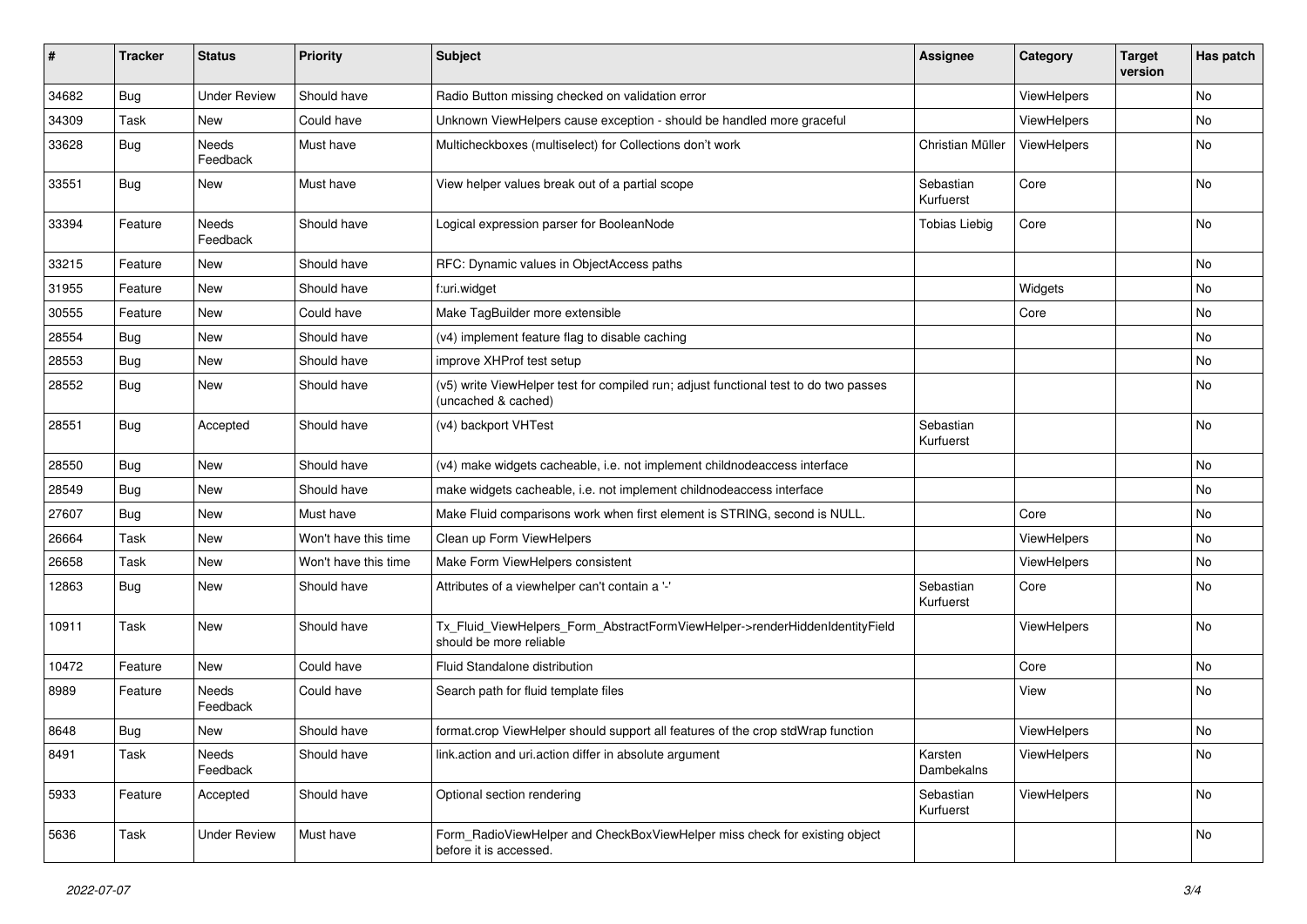| #     | <b>Tracker</b> | <b>Status</b>       | <b>Priority</b>      | <b>Subject</b>                                                                                              | <b>Assignee</b>        | Category    | <b>Target</b><br>version | Has patch |
|-------|----------------|---------------------|----------------------|-------------------------------------------------------------------------------------------------------------|------------------------|-------------|--------------------------|-----------|
| 34682 | Bug            | <b>Under Review</b> | Should have          | Radio Button missing checked on validation error                                                            |                        | ViewHelpers |                          | No        |
| 34309 | Task           | New                 | Could have           | Unknown ViewHelpers cause exception - should be handled more graceful                                       |                        | ViewHelpers |                          | No        |
| 33628 | Bug            | Needs<br>Feedback   | Must have            | Multicheckboxes (multiselect) for Collections don't work                                                    | Christian Müller       | ViewHelpers |                          | No        |
| 33551 | Bug            | New                 | Must have            | View helper values break out of a partial scope                                                             | Sebastian<br>Kurfuerst | Core        |                          | No        |
| 33394 | Feature        | Needs<br>Feedback   | Should have          | Logical expression parser for BooleanNode                                                                   | <b>Tobias Liebig</b>   | Core        |                          | No        |
| 33215 | Feature        | <b>New</b>          | Should have          | RFC: Dynamic values in ObjectAccess paths                                                                   |                        |             |                          | No        |
| 31955 | Feature        | New                 | Should have          | f:uri.widget                                                                                                |                        | Widgets     |                          | No        |
| 30555 | Feature        | New                 | Could have           | Make TagBuilder more extensible                                                                             |                        | Core        |                          | No        |
| 28554 | Bug            | New                 | Should have          | (v4) implement feature flag to disable caching                                                              |                        |             |                          | No        |
| 28553 | Bug            | New                 | Should have          | improve XHProf test setup                                                                                   |                        |             |                          | No        |
| 28552 | Bug            | New                 | Should have          | (v5) write ViewHelper test for compiled run; adjust functional test to do two passes<br>(uncached & cached) |                        |             |                          | No        |
| 28551 | Bug            | Accepted            | Should have          | (v4) backport VHTest                                                                                        | Sebastian<br>Kurfuerst |             |                          | No        |
| 28550 | Bug            | New                 | Should have          | (v4) make widgets cacheable, i.e. not implement childnodeaccess interface                                   |                        |             |                          | No        |
| 28549 | Bug            | New                 | Should have          | make widgets cacheable, i.e. not implement childnodeaccess interface                                        |                        |             |                          | No        |
| 27607 | Bug            | New                 | Must have            | Make Fluid comparisons work when first element is STRING, second is NULL.                                   |                        | Core        |                          | No        |
| 26664 | Task           | New                 | Won't have this time | Clean up Form ViewHelpers                                                                                   |                        | ViewHelpers |                          | No        |
| 26658 | Task           | New                 | Won't have this time | Make Form ViewHelpers consistent                                                                            |                        | ViewHelpers |                          | No        |
| 12863 | Bug            | New                 | Should have          | Attributes of a viewhelper can't contain a '-'                                                              | Sebastian<br>Kurfuerst | Core        |                          | No        |
| 10911 | Task           | New                 | Should have          | Tx_Fluid_ViewHelpers_Form_AbstractFormViewHelper->renderHiddenIdentityField<br>should be more reliable      |                        | ViewHelpers |                          | No        |
| 10472 | Feature        | New                 | Could have           | <b>Fluid Standalone distribution</b>                                                                        |                        | Core        |                          | No        |
| 8989  | Feature        | Needs<br>Feedback   | Could have           | Search path for fluid template files                                                                        |                        | View        |                          | No        |
| 8648  | Bug            | New                 | Should have          | format.crop ViewHelper should support all features of the crop stdWrap function                             |                        | ViewHelpers |                          | No        |
| 8491  | Task           | Needs<br>Feedback   | Should have          | link.action and uri.action differ in absolute argument                                                      | Karsten<br>Dambekalns  | ViewHelpers |                          | No        |
| 5933  | Feature        | Accepted            | Should have          | Optional section rendering                                                                                  | Sebastian<br>Kurfuerst | ViewHelpers |                          | No        |
| 5636  | Task           | <b>Under Review</b> | Must have            | Form_RadioViewHelper and CheckBoxViewHelper miss check for existing object<br>before it is accessed.        |                        |             |                          | No        |